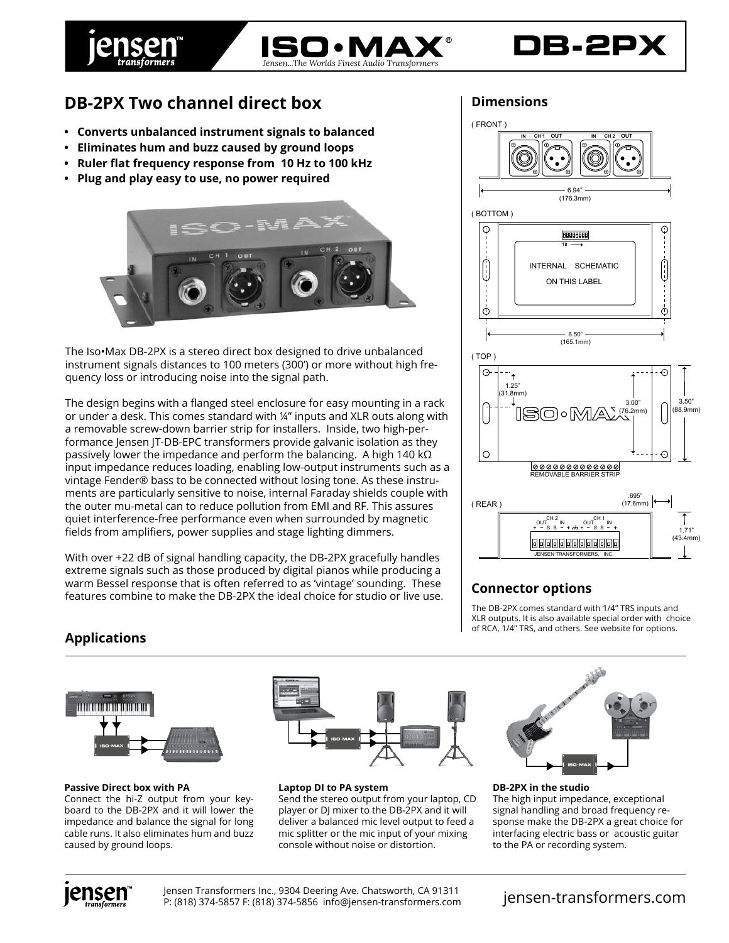

# **DB-2PX**

## **DB-2PX Two channel direct box**

- **Converts unbalanced instrument signals to balanced**
- **Eliminates hum and buzz caused by ground loops**
- **Ruler flat frequency response from 10 Hz to 100 kHz**
- **Plug and play easy to use, no power required**



The Iso•Max DB-2PX is a stereo direct box designed to drive unbalanced instrument signals distances to 100 meters (300') or more without high frequency loss or introducing noise into the signal path.

The design begins with a flanged steel enclosure for easy mounting in a rack or under a desk. This comes standard with ¼" inputs and XLR outs along with a removable screw-down barrier strip for installers. Inside, two high-performance Jensen JT-DB-EPC transformers provide galvanic isolation as they passively lower the impedance and perform the balancing. A high 140 k $\Omega$ input impedance reduces loading, enabling low-output instruments such as a vintage Fender® bass to be connected without losing tone. As these instruments are particularly sensitive to noise, internal Faraday shields couple with the outer mu-metal can to reduce pollution from EMI and RF. This assures quiet interference-free performance even when surrounded by magnetic fields from amplifiers, power supplies and stage lighting dimmers.

With over +22 dB of signal handling capacity, the DB-2PX gracefully handles extreme signals such as those produced by digital pianos while producing a warm Bessel response that is often referred to as 'vintage' sounding. These features combine to make the DB-2PX the ideal choice for studio or live use.



#### **Connector options**

The DB-2PX comes standard with 1/4" TRS inputs and XLR outputs. It is also available special order with choice of RCA, 1/4" TRS, and others. See website for options.

### **Applications**



#### **Passive Direct box with PA**

Connect the hi-Z output from your keyboard to the DB-2PX and it will lower the impedance and balance the signal for long cable runs. It also eliminates hum and buzz caused by ground loops.



**Laptop DI to PA system** Send the stereo output from your laptop, CD player or DJ mixer to the DB-2PX and it will deliver a balanced mic level output to feed a

mic splitter or the mic input of your mixing console without noise or distortion.



**DB-2PX in the studio** The high input impedance, exceptional signal handling and broad frequency response make the DB-2PX a great choice for interfacing electric bass or acoustic guitar to the PA or recording system.